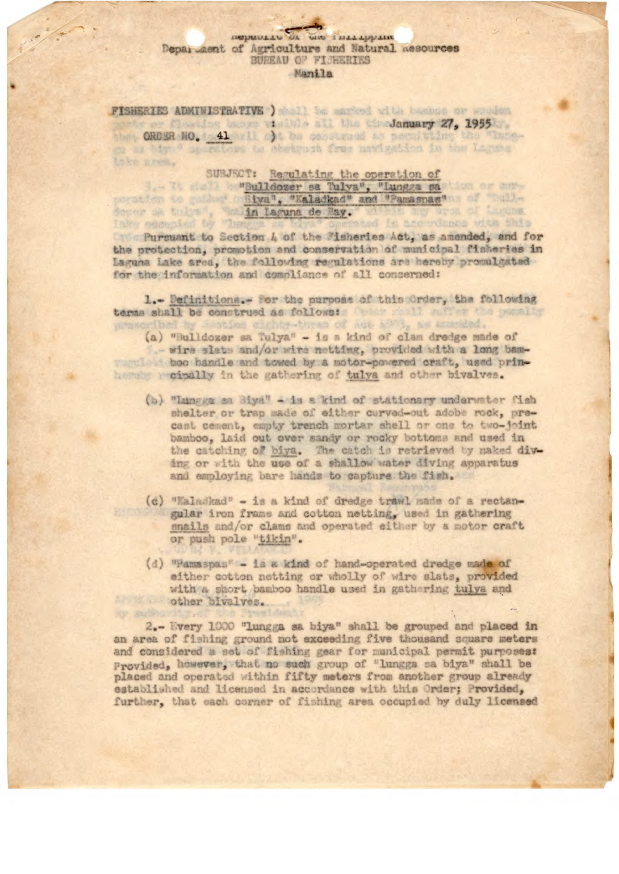## nepublic or was interprise Department of Agriculture and Natural Resources BUREAU OP FISHERIES Manila

FISHERIES ADMINISTRATIVE ) whill the marked with tempera or wredom the er flowling banks within all the cine**January 27, 1955** ...

Lohe system.

Nov. Baybin

the ORDER NO. 1641 and 1 be constrained as perceiveding the last go as hiy " as retors to convert free medention in the Larmer

SUBJECT: Regulating the operation of<br>"Bulldozer sa Tulya", "Lungga sa with may write of Sandwe downs as this . in Laguna de Bay. The communication with

ass is are minned with this

Pursuant to Section 4 of the Fisheries Act, as amended, and for the protection, promotion and conservation of municipal fisheries in Lagana Lake area, the following regulations are hereby promulgated for the information and compliance of all concerned:

1. Definitions. For the purpose of this Order, the following terms shall be construed as follows: I was the first the parally stice diship-thran of and Will, as annuled.

- (a) "Bulldozer sa Tulya" is a kind of clam dredge made of - wire slats and/or wire netting, provided with a long banthat the boo handle and towed by a motor-powered craft, used prinhereby scipally in the gathering of tulya and other bivalves.
	- (b) "Lungga sa Biya" is a kind of stationary underwater fish shelter or trap made of either curved-out adobe rock, precast cement, empty trench mortar shell or one to two-joint bamboo, laid out over sandy or rocky bottoms and used in the catching of biya. The catch is retrieved by naked diving or with the use of a shallow water diving apparatus and employing bare hands to capture the fish.
	- (c) "Kaladkad" is a kind of dredge trawl made of a rectangular iron frame and cotton netting, used in gathering snails and/or clams and operated either by a motor craft or push pole "tikin".
- (d) "Pamaspas" is a kind of hand-operated dredge made of either cotton netting or wholly of wire slats, provided with a short bamboo handle used in gathering tulya and other bivalves.

2.- Every 1000 "lungga sa biya" shall be grouped and placed in an area of fishing ground not exceeding five thousand square meters and considered a set of fishing gear for municipal permit purposes: Provided, however, that no such group of "lungga sa biya" shall be placed and operated within fifty meters from another group already established and licensed in accordance with this Order; Provided, further, that each corner of fishing area occupied by duly licensed